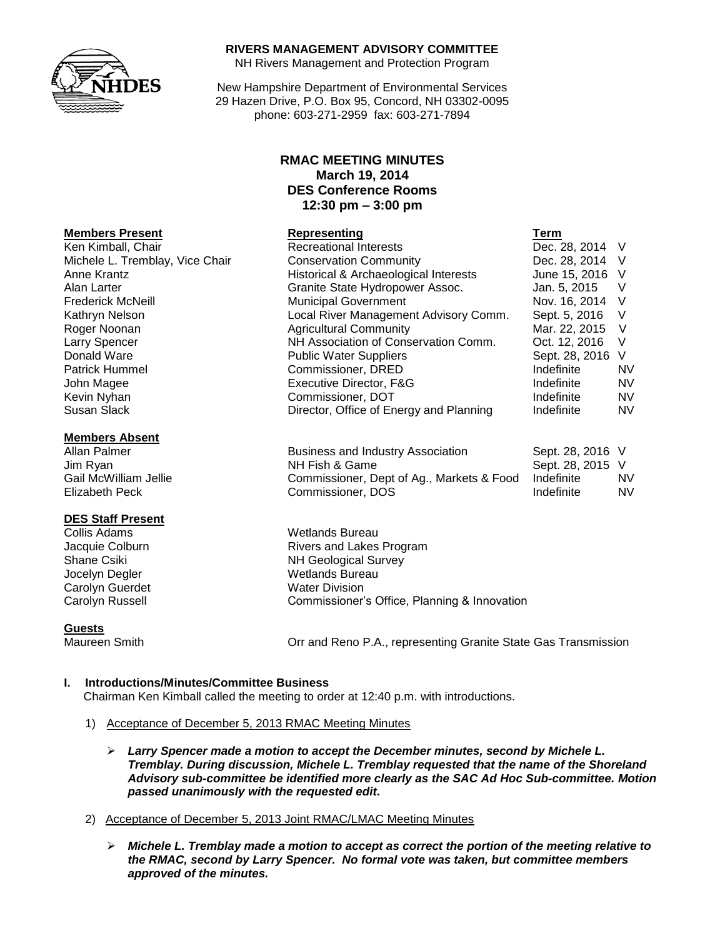

### **RIVERS MANAGEMENT ADVISORY COMMITTEE**

NH Rivers Management and Protection Program

New Hampshire Department of Environmental Services 29 Hazen Drive, P.O. Box 95, Concord, NH 03302-0095 phone: 603-271-2959 fax: 603-271-7894

# **RMAC MEETING MINUTES March 19, 2014 DES Conference Rooms 12:30 pm – 3:00 pm**

| <b>Members Present</b>          | Representing                            | Term             |           |
|---------------------------------|-----------------------------------------|------------------|-----------|
| Ken Kimball, Chair              | <b>Recreational Interests</b>           | Dec. 28, 2014 V  |           |
| Michele L. Tremblay, Vice Chair | <b>Conservation Community</b>           | Dec. 28, 2014 V  |           |
| Anne Krantz                     | Historical & Archaeological Interests   | June 15, 2016 V  |           |
| Alan Larter                     | Granite State Hydropower Assoc.         | Jan. 5, 2015     | v         |
| <b>Frederick McNeill</b>        | <b>Municipal Government</b>             | Nov. 16, 2014 V  |           |
| Kathryn Nelson                  | Local River Management Advisory Comm.   | Sept. 5, 2016    | V         |
| Roger Noonan                    | <b>Agricultural Community</b>           | Mar. 22, 2015    | V         |
| Larry Spencer                   | NH Association of Conservation Comm.    | Oct. 12, 2016    | V         |
| Donald Ware                     | <b>Public Water Suppliers</b>           | Sept. 28, 2016 V |           |
| <b>Patrick Hummel</b>           | Commissioner, DRED                      | Indefinite       | <b>NV</b> |
| John Magee                      | Executive Director, F&G                 | Indefinite       | <b>NV</b> |
| Kevin Nyhan                     | Commissioner, DOT                       | Indefinite       | <b>NV</b> |
| Susan Slack                     | Director, Office of Energy and Planning | Indefinite       | <b>NV</b> |

| 11011110010111000111  |                                           |                  |           |
|-----------------------|-------------------------------------------|------------------|-----------|
| Allan Palmer          | <b>Business and Industry Association</b>  | Sept. 28, 2016 V |           |
| Jim Ryan              | NH Fish & Game                            | Sept. 28, 2015 V |           |
| Gail McWilliam Jellie | Commissioner, Dept of Ag., Markets & Food | Indefinite       | <b>NV</b> |
| Elizabeth Peck        | Commissioner, DOS                         | Indefinite       | <b>NV</b> |

Jacquie Colburn **Rivers** and Lakes Program Shane Csiki NH Geological Survey Carolyn Russell Commissioner's Office, Planning & Innovation

Maureen Smith Orr and Reno P.A., representing Granite State Gas Transmission

# **I. Introductions/Minutes/Committee Business**

Chairman Ken Kimball called the meeting to order at 12:40 p.m. with introductions.

- 1) Acceptance of December 5, 2013 RMAC Meeting Minutes
	- *Larry Spencer made a motion to accept the December minutes, second by Michele L. Tremblay. During discussion, Michele L. Tremblay requested that the name of the Shoreland Advisory sub-committee be identified more clearly as the SAC Ad Hoc Sub-committee. Motion passed unanimously with the requested edit.*
- 2) Acceptance of December 5, 2013 Joint RMAC/LMAC Meeting Minutes
	- *Michele L. Tremblay made a motion to accept as correct the portion of the meeting relative to the RMAC, second by Larry Spencer. No formal vote was taken, but committee members approved of the minutes.*

## **Members Absent**

### **DES Staff Present**

Collis Adams Wetlands Bureau Jocelyn Degler Netlands Bureau Carolyn Guerdet Water Division

**Guests**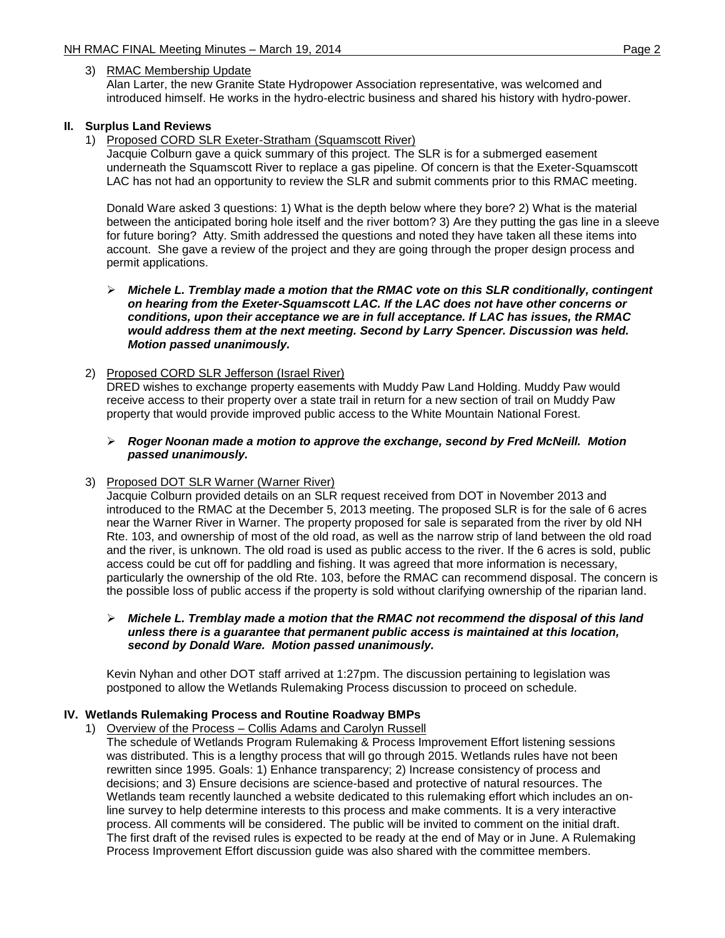## 3) RMAC Membership Update

Alan Larter, the new Granite State Hydropower Association representative, was welcomed and introduced himself. He works in the hydro-electric business and shared his history with hydro-power.

# **II. Surplus Land Reviews**

1) Proposed CORD SLR Exeter-Stratham (Squamscott River)

Jacquie Colburn gave a quick summary of this project. The SLR is for a submerged easement underneath the Squamscott River to replace a gas pipeline. Of concern is that the Exeter-Squamscott LAC has not had an opportunity to review the SLR and submit comments prior to this RMAC meeting.

Donald Ware asked 3 questions: 1) What is the depth below where they bore? 2) What is the material between the anticipated boring hole itself and the river bottom? 3) Are they putting the gas line in a sleeve for future boring? Atty. Smith addressed the questions and noted they have taken all these items into account. She gave a review of the project and they are going through the proper design process and permit applications.

### *Michele L. Tremblay made a motion that the RMAC vote on this SLR conditionally, contingent on hearing from the Exeter-Squamscott LAC. If the LAC does not have other concerns or conditions, upon their acceptance we are in full acceptance. If LAC has issues, the RMAC would address them at the next meeting. Second by Larry Spencer. Discussion was held. Motion passed unanimously.*

## 2) Proposed CORD SLR Jefferson (Israel River)

DRED wishes to exchange property easements with Muddy Paw Land Holding. Muddy Paw would receive access to their property over a state trail in return for a new section of trail on Muddy Paw property that would provide improved public access to the White Mountain National Forest.

## *Roger Noonan made a motion to approve the exchange, second by Fred McNeill. Motion passed unanimously.*

### 3) Proposed DOT SLR Warner (Warner River)

Jacquie Colburn provided details on an SLR request received from DOT in November 2013 and introduced to the RMAC at the December 5, 2013 meeting. The proposed SLR is for the sale of 6 acres near the Warner River in Warner. The property proposed for sale is separated from the river by old NH Rte. 103, and ownership of most of the old road, as well as the narrow strip of land between the old road and the river, is unknown. The old road is used as public access to the river. If the 6 acres is sold, public access could be cut off for paddling and fishing. It was agreed that more information is necessary, particularly the ownership of the old Rte. 103, before the RMAC can recommend disposal. The concern is the possible loss of public access if the property is sold without clarifying ownership of the riparian land.

### *Michele L. Tremblay made a motion that the RMAC not recommend the disposal of this land unless there is a guarantee that permanent public access is maintained at this location, second by Donald Ware. Motion passed unanimously.*

Kevin Nyhan and other DOT staff arrived at 1:27pm. The discussion pertaining to legislation was postponed to allow the Wetlands Rulemaking Process discussion to proceed on schedule.

# **IV. Wetlands Rulemaking Process and Routine Roadway BMPs**

1) Overview of the Process – Collis Adams and Carolyn Russell

The schedule of Wetlands Program Rulemaking & Process Improvement Effort listening sessions was distributed. This is a lengthy process that will go through 2015. Wetlands rules have not been rewritten since 1995. Goals: 1) Enhance transparency; 2) Increase consistency of process and decisions; and 3) Ensure decisions are science-based and protective of natural resources. The Wetlands team recently launched a website dedicated to this rulemaking effort which includes an online survey to help determine interests to this process and make comments. It is a very interactive process. All comments will be considered. The public will be invited to comment on the initial draft. The first draft of the revised rules is expected to be ready at the end of May or in June. A Rulemaking Process Improvement Effort discussion guide was also shared with the committee members.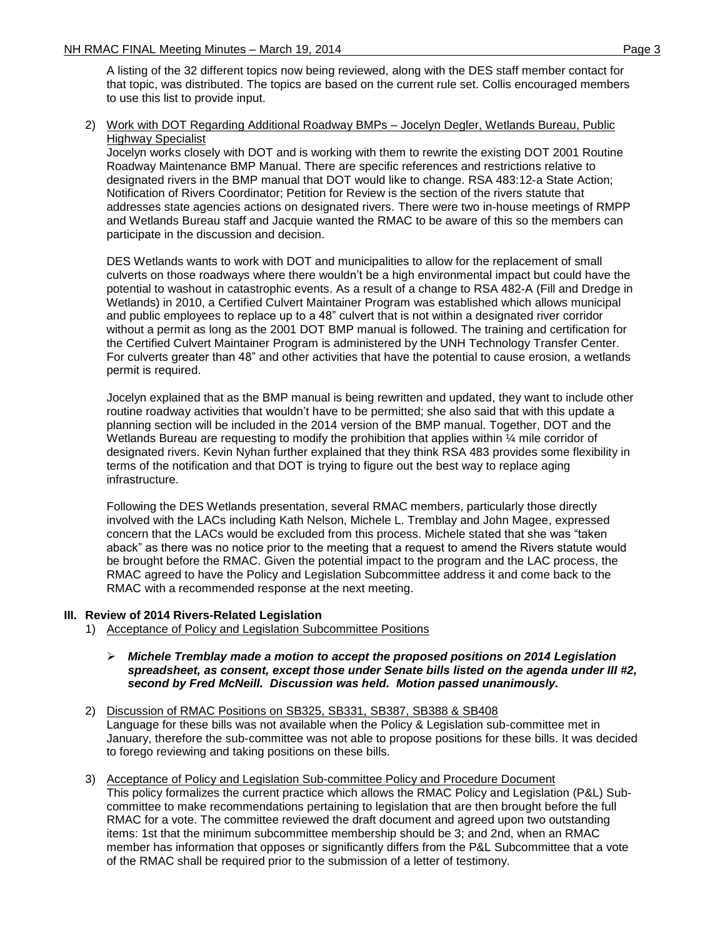A listing of the 32 different topics now being reviewed, along with the DES staff member contact for that topic, was distributed. The topics are based on the current rule set. Collis encouraged members to use this list to provide input.

# 2) Work with DOT Regarding Additional Roadway BMPs – Jocelyn Degler, Wetlands Bureau, Public Highway Specialist

Jocelyn works closely with DOT and is working with them to rewrite the existing DOT 2001 Routine Roadway Maintenance BMP Manual. There are specific references and restrictions relative to designated rivers in the BMP manual that DOT would like to change. RSA 483:12-a State Action; Notification of Rivers Coordinator; Petition for Review is the section of the rivers statute that addresses state agencies actions on designated rivers. There were two in-house meetings of RMPP and Wetlands Bureau staff and Jacquie wanted the RMAC to be aware of this so the members can participate in the discussion and decision.

DES Wetlands wants to work with DOT and municipalities to allow for the replacement of small culverts on those roadways where there wouldn't be a high environmental impact but could have the potential to washout in catastrophic events. As a result of a change to RSA 482-A (Fill and Dredge in Wetlands) in 2010, a Certified Culvert Maintainer Program was established which allows municipal and public employees to replace up to a 48" culvert that is not within a designated river corridor without a permit as long as the 2001 DOT BMP manual is followed. The training and certification for the Certified Culvert Maintainer Program is administered by the UNH Technology Transfer Center. For culverts greater than 48" and other activities that have the potential to cause erosion, a wetlands permit is required.

Jocelyn explained that as the BMP manual is being rewritten and updated, they want to include other routine roadway activities that wouldn't have to be permitted; she also said that with this update a planning section will be included in the 2014 version of the BMP manual. Together, DOT and the Wetlands Bureau are requesting to modify the prohibition that applies within  $\frac{1}{4}$  mile corridor of designated rivers. Kevin Nyhan further explained that they think RSA 483 provides some flexibility in terms of the notification and that DOT is trying to figure out the best way to replace aging infrastructure.

Following the DES Wetlands presentation, several RMAC members, particularly those directly involved with the LACs including Kath Nelson, Michele L. Tremblay and John Magee, expressed concern that the LACs would be excluded from this process. Michele stated that she was "taken aback" as there was no notice prior to the meeting that a request to amend the Rivers statute would be brought before the RMAC. Given the potential impact to the program and the LAC process, the RMAC agreed to have the Policy and Legislation Subcommittee address it and come back to the RMAC with a recommended response at the next meeting.

# **III. Review of 2014 Rivers-Related Legislation**

- 1) Acceptance of Policy and Legislation Subcommittee Positions
	- *Michele Tremblay made a motion to accept the proposed positions on 2014 Legislation spreadsheet, as consent, except those under Senate bills listed on the agenda under III #2, second by Fred McNeill. Discussion was held. Motion passed unanimously.*
- 2) Discussion of RMAC Positions on SB325, SB331, SB387, SB388 & SB408 Language for these bills was not available when the Policy & Legislation sub-committee met in January, therefore the sub-committee was not able to propose positions for these bills. It was decided to forego reviewing and taking positions on these bills.
- 3) Acceptance of Policy and Legislation Sub-committee Policy and Procedure Document This policy formalizes the current practice which allows the RMAC Policy and Legislation (P&L) Subcommittee to make recommendations pertaining to legislation that are then brought before the full RMAC for a vote. The committee reviewed the draft document and agreed upon two outstanding items: 1st that the minimum subcommittee membership should be 3; and 2nd, when an RMAC member has information that opposes or significantly differs from the P&L Subcommittee that a vote of the RMAC shall be required prior to the submission of a letter of testimony.